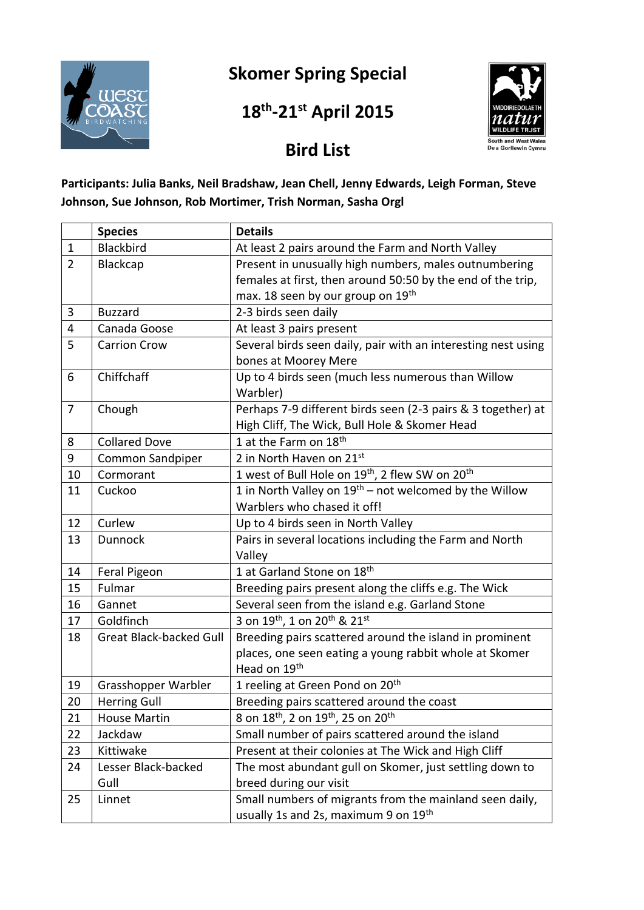

# **Skomer Spring Special**

### **18 th -21st April 2015**



## **Bird List**

#### **Participants: Julia Banks, Neil Bradshaw, Jean Chell, Jenny Edwards, Leigh Forman, Steve Johnson, Sue Johnson, Rob Mortimer, Trish Norman, Sasha Orgl**

|                | <b>Species</b>                 | <b>Details</b>                                                          |
|----------------|--------------------------------|-------------------------------------------------------------------------|
| $\mathbf{1}$   | <b>Blackbird</b>               | At least 2 pairs around the Farm and North Valley                       |
| $\overline{2}$ | Blackcap                       | Present in unusually high numbers, males outnumbering                   |
|                |                                | females at first, then around 50:50 by the end of the trip,             |
|                |                                | max. 18 seen by our group on 19th                                       |
| 3              | <b>Buzzard</b>                 | 2-3 birds seen daily                                                    |
| 4              | Canada Goose                   | At least 3 pairs present                                                |
| 5              | <b>Carrion Crow</b>            | Several birds seen daily, pair with an interesting nest using           |
|                |                                | bones at Moorey Mere                                                    |
| 6              | Chiffchaff                     | Up to 4 birds seen (much less numerous than Willow                      |
|                |                                | Warbler)                                                                |
| $\overline{7}$ | Chough                         | Perhaps 7-9 different birds seen (2-3 pairs & 3 together) at            |
|                |                                | High Cliff, The Wick, Bull Hole & Skomer Head                           |
| 8              | <b>Collared Dove</b>           | 1 at the Farm on 18 <sup>th</sup>                                       |
| 9              | Common Sandpiper               | 2 in North Haven on 21st                                                |
| 10             | Cormorant                      | 1 west of Bull Hole on 19 <sup>th</sup> , 2 flew SW on 20 <sup>th</sup> |
| 11             | Cuckoo                         | 1 in North Valley on 19 <sup>th</sup> – not welcomed by the Willow      |
|                |                                | Warblers who chased it off!                                             |
| 12             | Curlew                         | Up to 4 birds seen in North Valley                                      |
| 13             | <b>Dunnock</b>                 | Pairs in several locations including the Farm and North                 |
|                |                                | Valley                                                                  |
| 14             | Feral Pigeon                   | 1 at Garland Stone on 18th                                              |
| 15             | Fulmar                         | Breeding pairs present along the cliffs e.g. The Wick                   |
| 16             | Gannet                         | Several seen from the island e.g. Garland Stone                         |
| 17             | Goldfinch                      | 3 on 19 <sup>th</sup> , 1 on 20 <sup>th</sup> & 21 <sup>st</sup>        |
| 18             | <b>Great Black-backed Gull</b> | Breeding pairs scattered around the island in prominent                 |
|                |                                | places, one seen eating a young rabbit whole at Skomer                  |
|                |                                | Head on 19th                                                            |
| 19             | Grasshopper Warbler            | 1 reeling at Green Pond on 20 <sup>th</sup>                             |
| 20             | <b>Herring Gull</b>            | Breeding pairs scattered around the coast                               |
| 21             | <b>House Martin</b>            | 8 on 18 <sup>th</sup> , 2 on 19 <sup>th</sup> , 25 on 20 <sup>th</sup>  |
| 22             | Jackdaw                        | Small number of pairs scattered around the island                       |
| 23             | Kittiwake                      | Present at their colonies at The Wick and High Cliff                    |
| 24             | Lesser Black-backed            | The most abundant gull on Skomer, just settling down to                 |
|                | Gull                           | breed during our visit                                                  |
| 25             | Linnet                         | Small numbers of migrants from the mainland seen daily,                 |
|                |                                | usually 1s and 2s, maximum 9 on 19th                                    |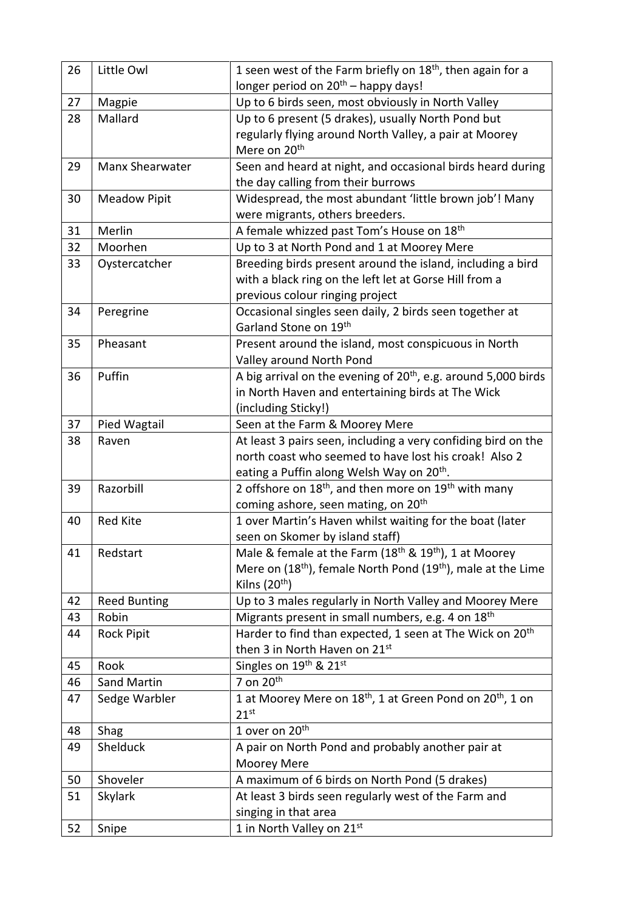| longer period on 20 <sup>th</sup> – happy days!<br>Up to 6 birds seen, most obviously in North Valley<br>27<br>Magpie<br>Mallard<br>Up to 6 present (5 drakes), usually North Pond but<br>28<br>regularly flying around North Valley, a pair at Moorey<br>Mere on 20 <sup>th</sup><br>Manx Shearwater<br>Seen and heard at night, and occasional birds heard during<br>29<br>the day calling from their burrows<br><b>Meadow Pipit</b><br>Widespread, the most abundant 'little brown job'! Many<br>30<br>were migrants, others breeders.<br>Merlin<br>A female whizzed past Tom's House on 18th<br>31<br>32<br>Moorhen<br>Up to 3 at North Pond and 1 at Moorey Mere<br>Breeding birds present around the island, including a bird<br>33<br>Oystercatcher<br>with a black ring on the left let at Gorse Hill from a<br>previous colour ringing project<br>Peregrine<br>Occasional singles seen daily, 2 birds seen together at<br>34<br>Garland Stone on 19th<br>35<br>Pheasant<br>Present around the island, most conspicuous in North<br>Valley around North Pond<br>Puffin<br>A big arrival on the evening of $20th$ , e.g. around 5,000 birds<br>36<br>in North Haven and entertaining birds at The Wick<br>(including Sticky!)<br>37<br>Pied Wagtail<br>Seen at the Farm & Moorey Mere<br>At least 3 pairs seen, including a very confiding bird on the<br>38<br>Raven<br>north coast who seemed to have lost his croak! Also 2<br>eating a Puffin along Welsh Way on 20 <sup>th</sup> .<br>2 offshore on $18th$ , and then more on $19th$ with many<br>Razorbill<br>39<br>coming ashore, seen mating, on 20 <sup>th</sup><br>1 over Martin's Haven whilst waiting for the boat (later<br><b>Red Kite</b><br>40<br>seen on Skomer by island staff)<br>Male & female at the Farm $(18th$ & $19th)$ , 1 at Moorey<br>Redstart<br>41<br>Mere on (18 <sup>th</sup> ), female North Pond (19 <sup>th</sup> ), male at the Lime<br>Kilns (20 <sup>th</sup> )<br>Up to 3 males regularly in North Valley and Moorey Mere<br>42<br><b>Reed Bunting</b><br>Migrants present in small numbers, e.g. 4 on 18 <sup>th</sup><br>43<br>Robin<br>Harder to find than expected, 1 seen at The Wick on 20 <sup>th</sup><br><b>Rock Pipit</b><br>44<br>then 3 in North Haven on 21st<br>Singles on 19th & 21st<br>Rook<br>45<br>7 on 20 <sup>th</sup><br>Sand Martin<br>46<br>1 at Moorey Mere on 18 <sup>th</sup> , 1 at Green Pond on 20 <sup>th</sup> , 1 on<br>Sedge Warbler<br>47 | 26 | Little Owl | 1 seen west of the Farm briefly on 18 <sup>th</sup> , then again for a |
|----------------------------------------------------------------------------------------------------------------------------------------------------------------------------------------------------------------------------------------------------------------------------------------------------------------------------------------------------------------------------------------------------------------------------------------------------------------------------------------------------------------------------------------------------------------------------------------------------------------------------------------------------------------------------------------------------------------------------------------------------------------------------------------------------------------------------------------------------------------------------------------------------------------------------------------------------------------------------------------------------------------------------------------------------------------------------------------------------------------------------------------------------------------------------------------------------------------------------------------------------------------------------------------------------------------------------------------------------------------------------------------------------------------------------------------------------------------------------------------------------------------------------------------------------------------------------------------------------------------------------------------------------------------------------------------------------------------------------------------------------------------------------------------------------------------------------------------------------------------------------------------------------------------------------------------------------------------------------------------------------------------------------------------------------------------------------------------------------------------------------------------------------------------------------------------------------------------------------------------------------------------------------------------------------------------------------------------------------------------------------------------------------------------------------------------------------------------------------|----|------------|------------------------------------------------------------------------|
|                                                                                                                                                                                                                                                                                                                                                                                                                                                                                                                                                                                                                                                                                                                                                                                                                                                                                                                                                                                                                                                                                                                                                                                                                                                                                                                                                                                                                                                                                                                                                                                                                                                                                                                                                                                                                                                                                                                                                                                                                                                                                                                                                                                                                                                                                                                                                                                                                                                                            |    |            |                                                                        |
|                                                                                                                                                                                                                                                                                                                                                                                                                                                                                                                                                                                                                                                                                                                                                                                                                                                                                                                                                                                                                                                                                                                                                                                                                                                                                                                                                                                                                                                                                                                                                                                                                                                                                                                                                                                                                                                                                                                                                                                                                                                                                                                                                                                                                                                                                                                                                                                                                                                                            |    |            |                                                                        |
|                                                                                                                                                                                                                                                                                                                                                                                                                                                                                                                                                                                                                                                                                                                                                                                                                                                                                                                                                                                                                                                                                                                                                                                                                                                                                                                                                                                                                                                                                                                                                                                                                                                                                                                                                                                                                                                                                                                                                                                                                                                                                                                                                                                                                                                                                                                                                                                                                                                                            |    |            |                                                                        |
|                                                                                                                                                                                                                                                                                                                                                                                                                                                                                                                                                                                                                                                                                                                                                                                                                                                                                                                                                                                                                                                                                                                                                                                                                                                                                                                                                                                                                                                                                                                                                                                                                                                                                                                                                                                                                                                                                                                                                                                                                                                                                                                                                                                                                                                                                                                                                                                                                                                                            |    |            |                                                                        |
|                                                                                                                                                                                                                                                                                                                                                                                                                                                                                                                                                                                                                                                                                                                                                                                                                                                                                                                                                                                                                                                                                                                                                                                                                                                                                                                                                                                                                                                                                                                                                                                                                                                                                                                                                                                                                                                                                                                                                                                                                                                                                                                                                                                                                                                                                                                                                                                                                                                                            |    |            |                                                                        |
|                                                                                                                                                                                                                                                                                                                                                                                                                                                                                                                                                                                                                                                                                                                                                                                                                                                                                                                                                                                                                                                                                                                                                                                                                                                                                                                                                                                                                                                                                                                                                                                                                                                                                                                                                                                                                                                                                                                                                                                                                                                                                                                                                                                                                                                                                                                                                                                                                                                                            |    |            |                                                                        |
|                                                                                                                                                                                                                                                                                                                                                                                                                                                                                                                                                                                                                                                                                                                                                                                                                                                                                                                                                                                                                                                                                                                                                                                                                                                                                                                                                                                                                                                                                                                                                                                                                                                                                                                                                                                                                                                                                                                                                                                                                                                                                                                                                                                                                                                                                                                                                                                                                                                                            |    |            |                                                                        |
|                                                                                                                                                                                                                                                                                                                                                                                                                                                                                                                                                                                                                                                                                                                                                                                                                                                                                                                                                                                                                                                                                                                                                                                                                                                                                                                                                                                                                                                                                                                                                                                                                                                                                                                                                                                                                                                                                                                                                                                                                                                                                                                                                                                                                                                                                                                                                                                                                                                                            |    |            |                                                                        |
|                                                                                                                                                                                                                                                                                                                                                                                                                                                                                                                                                                                                                                                                                                                                                                                                                                                                                                                                                                                                                                                                                                                                                                                                                                                                                                                                                                                                                                                                                                                                                                                                                                                                                                                                                                                                                                                                                                                                                                                                                                                                                                                                                                                                                                                                                                                                                                                                                                                                            |    |            |                                                                        |
|                                                                                                                                                                                                                                                                                                                                                                                                                                                                                                                                                                                                                                                                                                                                                                                                                                                                                                                                                                                                                                                                                                                                                                                                                                                                                                                                                                                                                                                                                                                                                                                                                                                                                                                                                                                                                                                                                                                                                                                                                                                                                                                                                                                                                                                                                                                                                                                                                                                                            |    |            |                                                                        |
|                                                                                                                                                                                                                                                                                                                                                                                                                                                                                                                                                                                                                                                                                                                                                                                                                                                                                                                                                                                                                                                                                                                                                                                                                                                                                                                                                                                                                                                                                                                                                                                                                                                                                                                                                                                                                                                                                                                                                                                                                                                                                                                                                                                                                                                                                                                                                                                                                                                                            |    |            |                                                                        |
|                                                                                                                                                                                                                                                                                                                                                                                                                                                                                                                                                                                                                                                                                                                                                                                                                                                                                                                                                                                                                                                                                                                                                                                                                                                                                                                                                                                                                                                                                                                                                                                                                                                                                                                                                                                                                                                                                                                                                                                                                                                                                                                                                                                                                                                                                                                                                                                                                                                                            |    |            |                                                                        |
|                                                                                                                                                                                                                                                                                                                                                                                                                                                                                                                                                                                                                                                                                                                                                                                                                                                                                                                                                                                                                                                                                                                                                                                                                                                                                                                                                                                                                                                                                                                                                                                                                                                                                                                                                                                                                                                                                                                                                                                                                                                                                                                                                                                                                                                                                                                                                                                                                                                                            |    |            |                                                                        |
|                                                                                                                                                                                                                                                                                                                                                                                                                                                                                                                                                                                                                                                                                                                                                                                                                                                                                                                                                                                                                                                                                                                                                                                                                                                                                                                                                                                                                                                                                                                                                                                                                                                                                                                                                                                                                                                                                                                                                                                                                                                                                                                                                                                                                                                                                                                                                                                                                                                                            |    |            |                                                                        |
|                                                                                                                                                                                                                                                                                                                                                                                                                                                                                                                                                                                                                                                                                                                                                                                                                                                                                                                                                                                                                                                                                                                                                                                                                                                                                                                                                                                                                                                                                                                                                                                                                                                                                                                                                                                                                                                                                                                                                                                                                                                                                                                                                                                                                                                                                                                                                                                                                                                                            |    |            |                                                                        |
|                                                                                                                                                                                                                                                                                                                                                                                                                                                                                                                                                                                                                                                                                                                                                                                                                                                                                                                                                                                                                                                                                                                                                                                                                                                                                                                                                                                                                                                                                                                                                                                                                                                                                                                                                                                                                                                                                                                                                                                                                                                                                                                                                                                                                                                                                                                                                                                                                                                                            |    |            |                                                                        |
|                                                                                                                                                                                                                                                                                                                                                                                                                                                                                                                                                                                                                                                                                                                                                                                                                                                                                                                                                                                                                                                                                                                                                                                                                                                                                                                                                                                                                                                                                                                                                                                                                                                                                                                                                                                                                                                                                                                                                                                                                                                                                                                                                                                                                                                                                                                                                                                                                                                                            |    |            |                                                                        |
|                                                                                                                                                                                                                                                                                                                                                                                                                                                                                                                                                                                                                                                                                                                                                                                                                                                                                                                                                                                                                                                                                                                                                                                                                                                                                                                                                                                                                                                                                                                                                                                                                                                                                                                                                                                                                                                                                                                                                                                                                                                                                                                                                                                                                                                                                                                                                                                                                                                                            |    |            |                                                                        |
|                                                                                                                                                                                                                                                                                                                                                                                                                                                                                                                                                                                                                                                                                                                                                                                                                                                                                                                                                                                                                                                                                                                                                                                                                                                                                                                                                                                                                                                                                                                                                                                                                                                                                                                                                                                                                                                                                                                                                                                                                                                                                                                                                                                                                                                                                                                                                                                                                                                                            |    |            |                                                                        |
|                                                                                                                                                                                                                                                                                                                                                                                                                                                                                                                                                                                                                                                                                                                                                                                                                                                                                                                                                                                                                                                                                                                                                                                                                                                                                                                                                                                                                                                                                                                                                                                                                                                                                                                                                                                                                                                                                                                                                                                                                                                                                                                                                                                                                                                                                                                                                                                                                                                                            |    |            |                                                                        |
|                                                                                                                                                                                                                                                                                                                                                                                                                                                                                                                                                                                                                                                                                                                                                                                                                                                                                                                                                                                                                                                                                                                                                                                                                                                                                                                                                                                                                                                                                                                                                                                                                                                                                                                                                                                                                                                                                                                                                                                                                                                                                                                                                                                                                                                                                                                                                                                                                                                                            |    |            |                                                                        |
|                                                                                                                                                                                                                                                                                                                                                                                                                                                                                                                                                                                                                                                                                                                                                                                                                                                                                                                                                                                                                                                                                                                                                                                                                                                                                                                                                                                                                                                                                                                                                                                                                                                                                                                                                                                                                                                                                                                                                                                                                                                                                                                                                                                                                                                                                                                                                                                                                                                                            |    |            |                                                                        |
|                                                                                                                                                                                                                                                                                                                                                                                                                                                                                                                                                                                                                                                                                                                                                                                                                                                                                                                                                                                                                                                                                                                                                                                                                                                                                                                                                                                                                                                                                                                                                                                                                                                                                                                                                                                                                                                                                                                                                                                                                                                                                                                                                                                                                                                                                                                                                                                                                                                                            |    |            |                                                                        |
|                                                                                                                                                                                                                                                                                                                                                                                                                                                                                                                                                                                                                                                                                                                                                                                                                                                                                                                                                                                                                                                                                                                                                                                                                                                                                                                                                                                                                                                                                                                                                                                                                                                                                                                                                                                                                                                                                                                                                                                                                                                                                                                                                                                                                                                                                                                                                                                                                                                                            |    |            |                                                                        |
|                                                                                                                                                                                                                                                                                                                                                                                                                                                                                                                                                                                                                                                                                                                                                                                                                                                                                                                                                                                                                                                                                                                                                                                                                                                                                                                                                                                                                                                                                                                                                                                                                                                                                                                                                                                                                                                                                                                                                                                                                                                                                                                                                                                                                                                                                                                                                                                                                                                                            |    |            |                                                                        |
|                                                                                                                                                                                                                                                                                                                                                                                                                                                                                                                                                                                                                                                                                                                                                                                                                                                                                                                                                                                                                                                                                                                                                                                                                                                                                                                                                                                                                                                                                                                                                                                                                                                                                                                                                                                                                                                                                                                                                                                                                                                                                                                                                                                                                                                                                                                                                                                                                                                                            |    |            |                                                                        |
|                                                                                                                                                                                                                                                                                                                                                                                                                                                                                                                                                                                                                                                                                                                                                                                                                                                                                                                                                                                                                                                                                                                                                                                                                                                                                                                                                                                                                                                                                                                                                                                                                                                                                                                                                                                                                                                                                                                                                                                                                                                                                                                                                                                                                                                                                                                                                                                                                                                                            |    |            |                                                                        |
|                                                                                                                                                                                                                                                                                                                                                                                                                                                                                                                                                                                                                                                                                                                                                                                                                                                                                                                                                                                                                                                                                                                                                                                                                                                                                                                                                                                                                                                                                                                                                                                                                                                                                                                                                                                                                                                                                                                                                                                                                                                                                                                                                                                                                                                                                                                                                                                                                                                                            |    |            |                                                                        |
|                                                                                                                                                                                                                                                                                                                                                                                                                                                                                                                                                                                                                                                                                                                                                                                                                                                                                                                                                                                                                                                                                                                                                                                                                                                                                                                                                                                                                                                                                                                                                                                                                                                                                                                                                                                                                                                                                                                                                                                                                                                                                                                                                                                                                                                                                                                                                                                                                                                                            |    |            |                                                                        |
|                                                                                                                                                                                                                                                                                                                                                                                                                                                                                                                                                                                                                                                                                                                                                                                                                                                                                                                                                                                                                                                                                                                                                                                                                                                                                                                                                                                                                                                                                                                                                                                                                                                                                                                                                                                                                                                                                                                                                                                                                                                                                                                                                                                                                                                                                                                                                                                                                                                                            |    |            |                                                                        |
|                                                                                                                                                                                                                                                                                                                                                                                                                                                                                                                                                                                                                                                                                                                                                                                                                                                                                                                                                                                                                                                                                                                                                                                                                                                                                                                                                                                                                                                                                                                                                                                                                                                                                                                                                                                                                                                                                                                                                                                                                                                                                                                                                                                                                                                                                                                                                                                                                                                                            |    |            |                                                                        |
|                                                                                                                                                                                                                                                                                                                                                                                                                                                                                                                                                                                                                                                                                                                                                                                                                                                                                                                                                                                                                                                                                                                                                                                                                                                                                                                                                                                                                                                                                                                                                                                                                                                                                                                                                                                                                                                                                                                                                                                                                                                                                                                                                                                                                                                                                                                                                                                                                                                                            |    |            |                                                                        |
|                                                                                                                                                                                                                                                                                                                                                                                                                                                                                                                                                                                                                                                                                                                                                                                                                                                                                                                                                                                                                                                                                                                                                                                                                                                                                                                                                                                                                                                                                                                                                                                                                                                                                                                                                                                                                                                                                                                                                                                                                                                                                                                                                                                                                                                                                                                                                                                                                                                                            |    |            |                                                                        |
|                                                                                                                                                                                                                                                                                                                                                                                                                                                                                                                                                                                                                                                                                                                                                                                                                                                                                                                                                                                                                                                                                                                                                                                                                                                                                                                                                                                                                                                                                                                                                                                                                                                                                                                                                                                                                                                                                                                                                                                                                                                                                                                                                                                                                                                                                                                                                                                                                                                                            |    |            |                                                                        |
|                                                                                                                                                                                                                                                                                                                                                                                                                                                                                                                                                                                                                                                                                                                                                                                                                                                                                                                                                                                                                                                                                                                                                                                                                                                                                                                                                                                                                                                                                                                                                                                                                                                                                                                                                                                                                                                                                                                                                                                                                                                                                                                                                                                                                                                                                                                                                                                                                                                                            |    |            |                                                                        |
|                                                                                                                                                                                                                                                                                                                                                                                                                                                                                                                                                                                                                                                                                                                                                                                                                                                                                                                                                                                                                                                                                                                                                                                                                                                                                                                                                                                                                                                                                                                                                                                                                                                                                                                                                                                                                                                                                                                                                                                                                                                                                                                                                                                                                                                                                                                                                                                                                                                                            |    |            |                                                                        |
|                                                                                                                                                                                                                                                                                                                                                                                                                                                                                                                                                                                                                                                                                                                                                                                                                                                                                                                                                                                                                                                                                                                                                                                                                                                                                                                                                                                                                                                                                                                                                                                                                                                                                                                                                                                                                                                                                                                                                                                                                                                                                                                                                                                                                                                                                                                                                                                                                                                                            |    |            |                                                                        |
|                                                                                                                                                                                                                                                                                                                                                                                                                                                                                                                                                                                                                                                                                                                                                                                                                                                                                                                                                                                                                                                                                                                                                                                                                                                                                                                                                                                                                                                                                                                                                                                                                                                                                                                                                                                                                                                                                                                                                                                                                                                                                                                                                                                                                                                                                                                                                                                                                                                                            |    |            |                                                                        |
|                                                                                                                                                                                                                                                                                                                                                                                                                                                                                                                                                                                                                                                                                                                                                                                                                                                                                                                                                                                                                                                                                                                                                                                                                                                                                                                                                                                                                                                                                                                                                                                                                                                                                                                                                                                                                                                                                                                                                                                                                                                                                                                                                                                                                                                                                                                                                                                                                                                                            |    |            |                                                                        |
|                                                                                                                                                                                                                                                                                                                                                                                                                                                                                                                                                                                                                                                                                                                                                                                                                                                                                                                                                                                                                                                                                                                                                                                                                                                                                                                                                                                                                                                                                                                                                                                                                                                                                                                                                                                                                                                                                                                                                                                                                                                                                                                                                                                                                                                                                                                                                                                                                                                                            |    |            | 21 <sup>st</sup>                                                       |
| 1 over on 20 <sup>th</sup><br>48<br>Shag                                                                                                                                                                                                                                                                                                                                                                                                                                                                                                                                                                                                                                                                                                                                                                                                                                                                                                                                                                                                                                                                                                                                                                                                                                                                                                                                                                                                                                                                                                                                                                                                                                                                                                                                                                                                                                                                                                                                                                                                                                                                                                                                                                                                                                                                                                                                                                                                                                   |    |            |                                                                        |
| Shelduck<br>A pair on North Pond and probably another pair at<br>49                                                                                                                                                                                                                                                                                                                                                                                                                                                                                                                                                                                                                                                                                                                                                                                                                                                                                                                                                                                                                                                                                                                                                                                                                                                                                                                                                                                                                                                                                                                                                                                                                                                                                                                                                                                                                                                                                                                                                                                                                                                                                                                                                                                                                                                                                                                                                                                                        |    |            |                                                                        |
| Moorey Mere                                                                                                                                                                                                                                                                                                                                                                                                                                                                                                                                                                                                                                                                                                                                                                                                                                                                                                                                                                                                                                                                                                                                                                                                                                                                                                                                                                                                                                                                                                                                                                                                                                                                                                                                                                                                                                                                                                                                                                                                                                                                                                                                                                                                                                                                                                                                                                                                                                                                |    |            |                                                                        |
| Shoveler<br>A maximum of 6 birds on North Pond (5 drakes)<br>50                                                                                                                                                                                                                                                                                                                                                                                                                                                                                                                                                                                                                                                                                                                                                                                                                                                                                                                                                                                                                                                                                                                                                                                                                                                                                                                                                                                                                                                                                                                                                                                                                                                                                                                                                                                                                                                                                                                                                                                                                                                                                                                                                                                                                                                                                                                                                                                                            |    |            |                                                                        |
| At least 3 birds seen regularly west of the Farm and<br>51<br>Skylark                                                                                                                                                                                                                                                                                                                                                                                                                                                                                                                                                                                                                                                                                                                                                                                                                                                                                                                                                                                                                                                                                                                                                                                                                                                                                                                                                                                                                                                                                                                                                                                                                                                                                                                                                                                                                                                                                                                                                                                                                                                                                                                                                                                                                                                                                                                                                                                                      |    |            |                                                                        |
| singing in that area                                                                                                                                                                                                                                                                                                                                                                                                                                                                                                                                                                                                                                                                                                                                                                                                                                                                                                                                                                                                                                                                                                                                                                                                                                                                                                                                                                                                                                                                                                                                                                                                                                                                                                                                                                                                                                                                                                                                                                                                                                                                                                                                                                                                                                                                                                                                                                                                                                                       |    |            |                                                                        |
| 1 in North Valley on 21st<br>52<br>Snipe                                                                                                                                                                                                                                                                                                                                                                                                                                                                                                                                                                                                                                                                                                                                                                                                                                                                                                                                                                                                                                                                                                                                                                                                                                                                                                                                                                                                                                                                                                                                                                                                                                                                                                                                                                                                                                                                                                                                                                                                                                                                                                                                                                                                                                                                                                                                                                                                                                   |    |            |                                                                        |